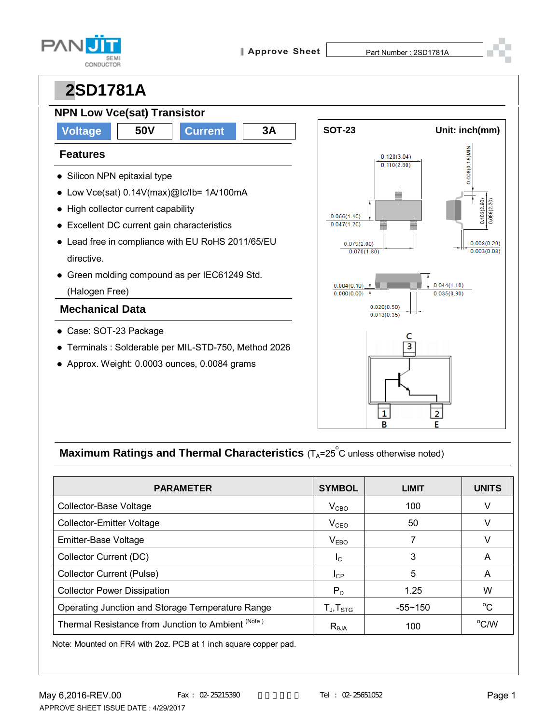



### **Maximum Ratings and Thermal Characteristics** (T<sub>A</sub>=25<sup>°</sup>C unless otherwise noted)

| <b>PARAMETER</b>                                   | <b>SYMBOL</b>       | <b>LIMIT</b> | <b>UNITS</b> |
|----------------------------------------------------|---------------------|--------------|--------------|
| Collector-Base Voltage                             | V <sub>CBO</sub>    | 100          | V            |
| <b>Collector-Emitter Voltage</b>                   | $V_{CEO}$           | 50           |              |
| Emitter-Base Voltage                               | V <sub>EBO</sub>    |              | V            |
| Collector Current (DC)                             | I <sub>C</sub>      | 3            | A            |
| <b>Collector Current (Pulse)</b>                   | $I_{\mathsf{CP}}$   | 5            | A            |
| <b>Collector Power Dissipation</b>                 | $P_D$               | 1.25         | W            |
| Operating Junction and Storage Temperature Range   | $T_{J}$ , $T_{STG}$ | $-55 - 150$  | $^{\circ}C$  |
| Thermal Resistance from Junction to Ambient (Note) | $R_{\theta$ JA      | 100          | °C/W         |

Note: Mounted on FR4 with 2oz. PCB at 1 inch square copper pad.

B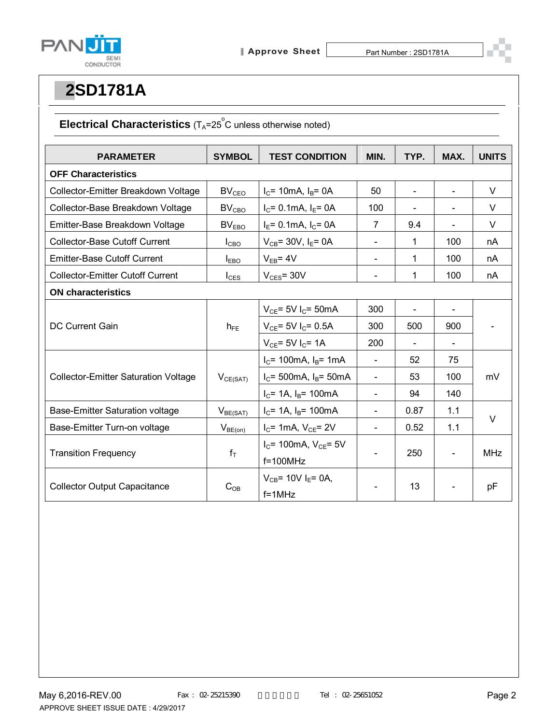

### **Electrical Characteristics** (T<sub>A</sub>=25<sup>°</sup>C unless otherwise noted)

| <b>PARAMETER</b>                            | <b>SYMBOL</b>           | <b>TEST CONDITION</b>               | MIN.                     | TYP.           | MAX.                     | <b>UNITS</b> |  |
|---------------------------------------------|-------------------------|-------------------------------------|--------------------------|----------------|--------------------------|--------------|--|
| <b>OFF Characteristics</b>                  |                         |                                     |                          |                |                          |              |  |
| Collector-Emitter Breakdown Voltage         | <b>BV<sub>CEO</sub></b> | $I_C$ = 10mA, $I_B$ = 0A            | 50                       | $\blacksquare$ | $\overline{\phantom{a}}$ | V            |  |
| Collector-Base Breakdown Voltage            | $BV_{CBO}$              | $I_C = 0.1$ mA, $I_E = 0A$          | 100                      |                |                          | $\vee$       |  |
| Emitter-Base Breakdown Voltage              | BV <sub>EBO</sub>       | $I_E$ = 0.1mA, $I_C$ = 0A           | 7                        | 9.4            | $\blacksquare$           | V            |  |
| <b>Collector-Base Cutoff Current</b>        | $I_{CBO}$               | $V_{CB}$ = 30V, $I_E$ = 0A          | $\blacksquare$           | 1              | 100                      | nA           |  |
| <b>Emitter-Base Cutoff Current</b>          | $I_{EBO}$               | $V_{EB} = 4V$                       | $\overline{\phantom{a}}$ | 1              | 100                      | nA           |  |
| <b>Collector-Emitter Cutoff Current</b>     | $I_{\text{CES}}$        | $V_{CES}$ = 30 $V$                  |                          | 1              | 100                      | nA           |  |
| <b>ON characteristics</b>                   |                         |                                     |                          |                |                          |              |  |
| <b>DC Current Gain</b>                      | $h_{FE}$                | $V_{CE}$ = 5V I <sub>C</sub> = 50mA | 300                      |                |                          |              |  |
|                                             |                         | $V_{CE}$ = 5V I <sub>C</sub> = 0.5A | 300                      | 500            | 900                      |              |  |
|                                             |                         | $V_{CE}$ = 5V I <sub>C</sub> = 1A   | 200                      |                |                          |              |  |
| <b>Collector-Emitter Saturation Voltage</b> | $V_{CE(SAT)}$           | $I_c$ = 100mA, $I_B$ = 1mA          | $\blacksquare$           | 52             | 75                       | mV           |  |
|                                             |                         | $I_c$ = 500mA, $I_B$ = 50mA         | $\blacksquare$           | 53             | 100                      |              |  |
|                                             |                         | $I_C$ = 1A, $I_B$ = 100mA           | $\blacksquare$           | 94             | 140                      |              |  |
| Base-Emitter Saturation voltage             | $V_{BE(SAT)}$           | $I_C$ = 1A, $I_B$ = 100mA           | $\overline{\phantom{a}}$ | 0.87           | 1.1                      |              |  |
| Base-Emitter Turn-on voltage                | $V_{BE(on)}$            | $I_C$ = 1mA, $V_{CE}$ = 2V          | $\blacksquare$           | 0.52           | 1.1                      | V            |  |
| <b>Transition Frequency</b>                 | $f_T$                   | $I_C$ = 100mA, $V_{CE}$ = 5V        |                          | 250            |                          | <b>MHz</b>   |  |
|                                             |                         | $f=100MHz$                          |                          |                |                          |              |  |
| <b>Collector Output Capacitance</b>         | $C_{OB}$                | $V_{CB}$ = 10V I <sub>E</sub> = 0A, |                          |                |                          | pF           |  |
|                                             |                         | $f = 1$ MHz                         |                          | 13             |                          |              |  |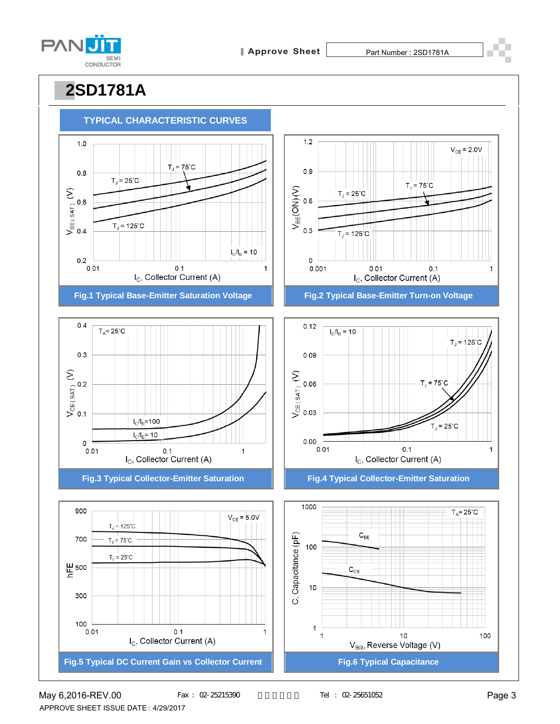